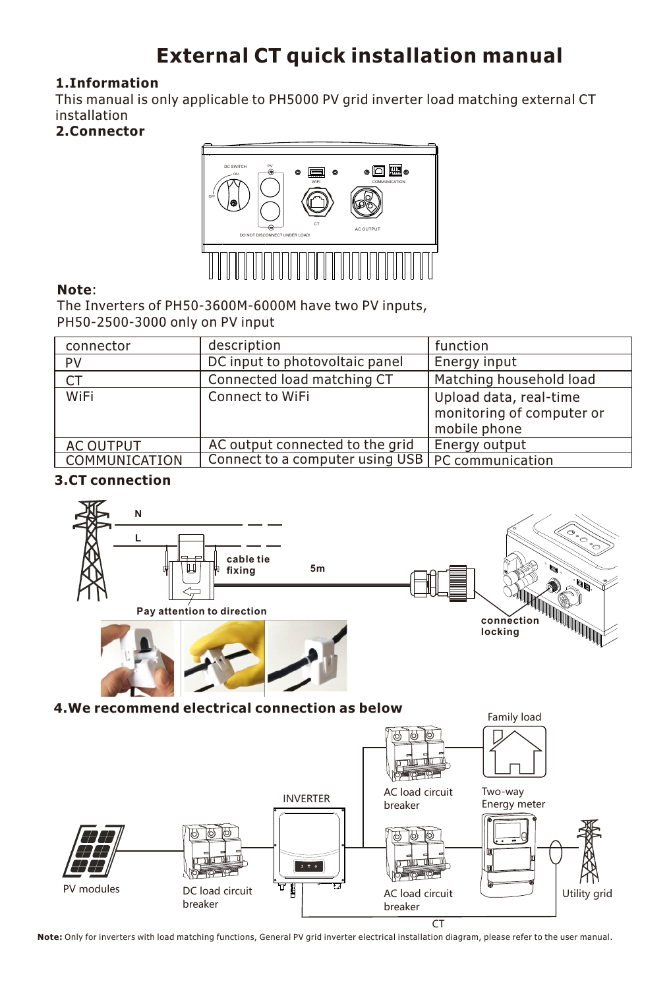# **External CT quick installation manual**

### **1.Information**

This manual is only applicable to PH5000 PV grid inverter load matching external CT installation

**2.Connector**



#### **Note**:

The Inverters of PH50-3600M-6000M have two PV inputs, PH50-2500-3000 only on PV input

| connector        | description                                        | function                                                            |  |
|------------------|----------------------------------------------------|---------------------------------------------------------------------|--|
| PV               | DC input to photovoltaic panel                     | Energy input                                                        |  |
| <b>CT</b>        | Connected load matching CT                         | Matching household load                                             |  |
| WiFi             | <b>Connect to WiFi</b>                             | Upload data, real-time<br>monitoring of computer or<br>mobile phone |  |
| <b>AC OUTPUT</b> | AC output connected to the grid                    | Energy output                                                       |  |
| COMMUNICATION    | Connect to a computer using USB   PC communication |                                                                     |  |

## **3.CT connection**



**4.We recommend electrical connection as below**



**Note:** Only for inverters with load matching functions, General PV grid inverter electrical installation diagram, please refer to the user manual.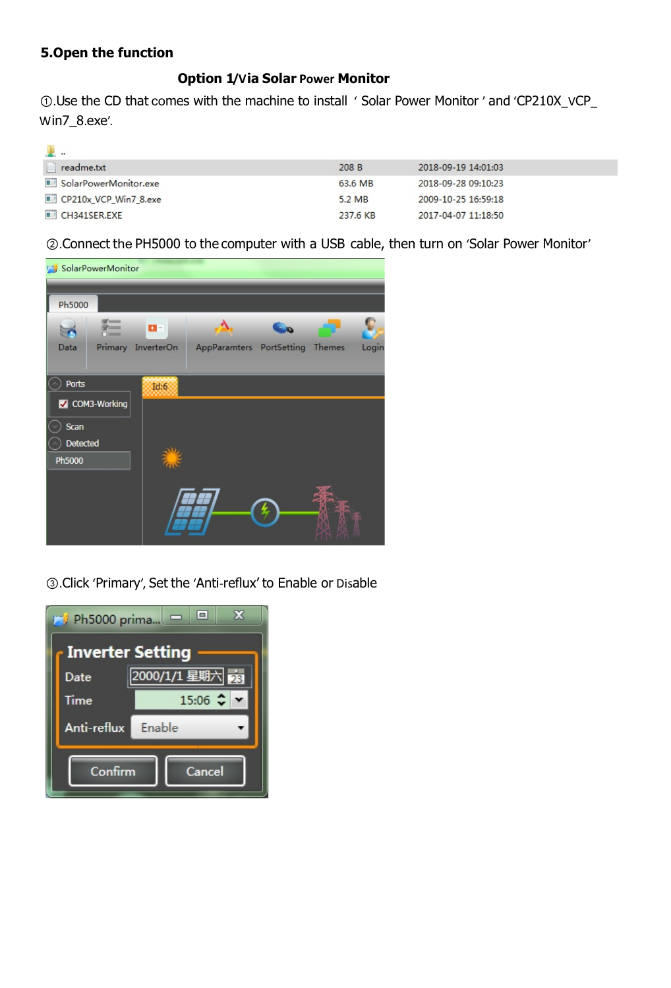## **5.Open the function**

#### **Option 1/Via Solar Power Monitor**

①.Use the CD that comes with the machine to install ' Solar Power Monitor ' and 'CP210X\_VCP\_ Win7\_8.exe'.

| <b><i>P. H.</i></b>   |          |                     |
|-----------------------|----------|---------------------|
| $\Box$ readme.txt     | 208 B    | 2018-09-19 14:01:03 |
| SolarPowerMonitor.exe | 63.6 MB  | 2018-09-28 09:10:23 |
| CP210x VCP Win7 8.exe | 5.2 MB   | 2009-10-25 16:59:18 |
| CH341SER.EXE          | 237.6 KB | 2017-04-07 11:18:50 |

②.Connect the PH5000 to the computer with a USB cable, then turn on 'Solar Power Monitor'



③.Click 'Primary', Set the 'Anti-reflux' to Enable or Disable

| х<br>$\Box$<br>Ph5000 prima<br>$\Box$<br><b>Inverter Setting</b> |                                        |  |  |  |
|------------------------------------------------------------------|----------------------------------------|--|--|--|
| Date                                                             | 2000/1/1 星期六<br>$\overline{23}$        |  |  |  |
| Time                                                             | $15:06$ $\leftarrow \bullet$ $\bullet$ |  |  |  |
| Anti-reflux                                                      | Enable                                 |  |  |  |
| Confirm<br>Cancel                                                |                                        |  |  |  |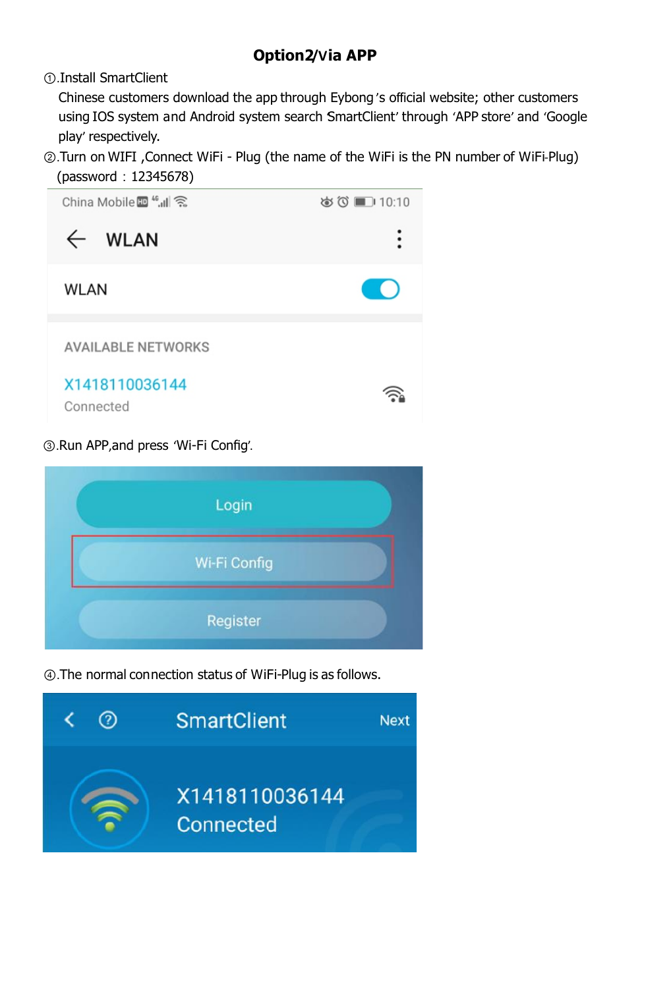## **Option2/Via APP**

①.Install SmartClient

Chinese customers download the app through Eybong 's official website; other customers using IOS system and Android system search SmartClient' through 'APP store' and 'Google play' respectively.

②.Turn on WIFI ,Connect WiFi - Plug (the name of the WiFi is the PN number of WiFi-Plug) (password:12345678)



### ③.Run APP,and press 'Wi-Fi Config'.



① The normal connection status of WiFi-Plug is as follows.